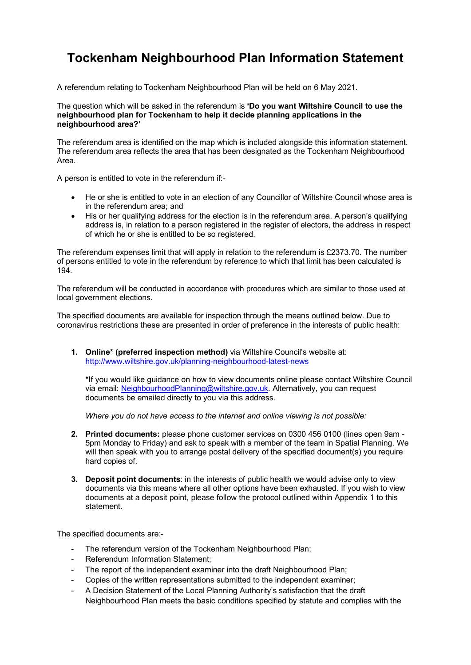## **Tockenham Neighbourhood Plan Information Statement**

A referendum relating to Tockenham Neighbourhood Plan will be held on 6 May 2021.

The question which will be asked in the referendum is **'Do you want Wiltshire Council to use the neighbourhood plan for Tockenham to help it decide planning applications in the neighbourhood area?'**

The referendum area is identified on the map which is included alongside this information statement. The referendum area reflects the area that has been designated as the Tockenham Neighbourhood Area.

A person is entitled to vote in the referendum if:-

- He or she is entitled to vote in an election of any Councillor of Wiltshire Council whose area is in the referendum area; and
- His or her qualifying address for the election is in the referendum area. A person's qualifying address is, in relation to a person registered in the register of electors, the address in respect of which he or she is entitled to be so registered.

The referendum expenses limit that will apply in relation to the referendum is £2373.70. The number of persons entitled to vote in the referendum by reference to which that limit has been calculated is 194.

The referendum will be conducted in accordance with procedures which are similar to those used at local government elections.

The specified documents are available for inspection through the means outlined below. Due to coronavirus restrictions these are presented in order of preference in the interests of public health:

**1. Online\* (preferred inspection method)** via Wiltshire Council's website at: <http://www.wiltshire.gov.uk/planning-neighbourhood-latest-news>

\*If you would like guidance on how to view documents online please contact Wiltshire Council via email: [NeighbourhoodPlanning@wiltshire.gov.uk.](mailto:NeighbourhoodPlanning@wiltshire.gov.uk) Alternatively, you can request documents be emailed directly to you via this address.

*Where you do not have access to the internet and online viewing is not possible:*

- **2. Printed documents:** please phone customer services on 0300 456 0100 (lines open 9am 5pm Monday to Friday) and ask to speak with a member of the team in Spatial Planning. We will then speak with you to arrange postal delivery of the specified document(s) you require hard copies of.
- **3. Deposit point documents**: in the interests of public health we would advise only to view documents via this means where all other options have been exhausted. If you wish to view documents at a deposit point, please follow the protocol outlined within Appendix 1 to this statement.

The specified documents are:-

- The referendum version of the Tockenham Neighbourhood Plan;
- Referendum Information Statement:
- The report of the independent examiner into the draft Neighbourhood Plan;
- Copies of the written representations submitted to the independent examiner;
- A Decision Statement of the Local Planning Authority's satisfaction that the draft Neighbourhood Plan meets the basic conditions specified by statute and complies with the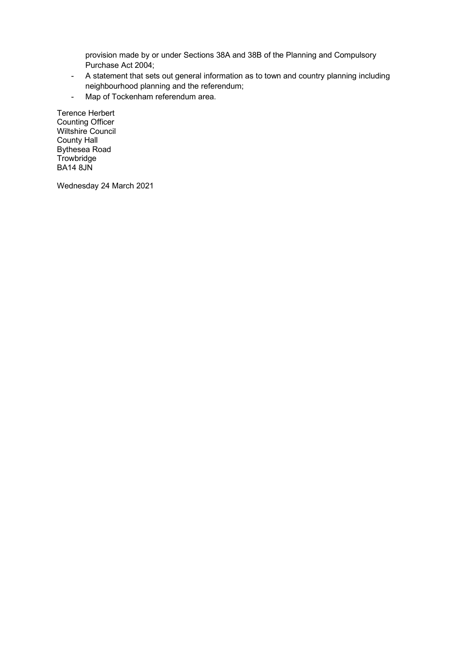provision made by or under Sections 38A and 38B of the Planning and Compulsory Purchase Act 2004;

- A statement that sets out general information as to town and country planning including neighbourhood planning and the referendum;
- Map of Tockenham referendum area.

Terence Herbert Counting Officer Wiltshire Council County Hall Bythesea Road **Trowbridge** BA14 8JN

Wednesday 24 March 2021